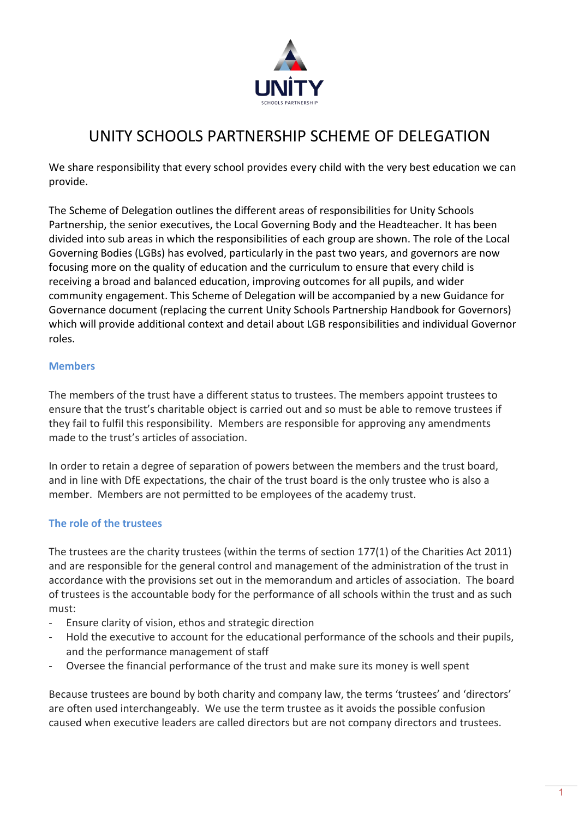

# UNITY SCHOOLS PARTNERSHIP SCHEME OF DELEGATION

We share responsibility that every school provides every child with the very best education we can provide.

The Scheme of Delegation outlines the different areas of responsibilities for Unity Schools Partnership, the senior executives, the Local Governing Body and the Headteacher. It has been divided into sub areas in which the responsibilities of each group are shown. The role of the Local Governing Bodies (LGBs) has evolved, particularly in the past two years, and governors are now focusing more on the quality of education and the curriculum to ensure that every child is receiving a broad and balanced education, improving outcomes for all pupils, and wider community engagement. This Scheme of Delegation will be accompanied by a new Guidance for Governance document (replacing the current Unity Schools Partnership Handbook for Governors) which will provide additional context and detail about LGB responsibilities and individual Governor roles.

#### **Members**

The members of the trust have a different status to trustees. The members appoint trustees to ensure that the trust's charitable object is carried out and so must be able to remove trustees if they fail to fulfil this responsibility. Members are responsible for approving any amendments made to the trust's articles of association.

In order to retain a degree of separation of powers between the members and the trust board, and in line with DfE expectations, the chair of the trust board is the only trustee who is also a member. Members are not permitted to be employees of the academy trust.

### **The role of the trustees**

The trustees are the charity trustees (within the terms of section 177(1) of the Charities Act 2011) and are responsible for the general control and management of the administration of the trust in accordance with the provisions set out in the memorandum and articles of association. The board of trustees is the accountable body for the performance of all schools within the trust and as such must:

- Ensure clarity of vision, ethos and strategic direction
- Hold the executive to account for the educational performance of the schools and their pupils, and the performance management of staff
- Oversee the financial performance of the trust and make sure its money is well spent

Because trustees are bound by both charity and company law, the terms 'trustees' and 'directors' are often used interchangeably. We use the term trustee as it avoids the possible confusion caused when executive leaders are called directors but are not company directors and trustees.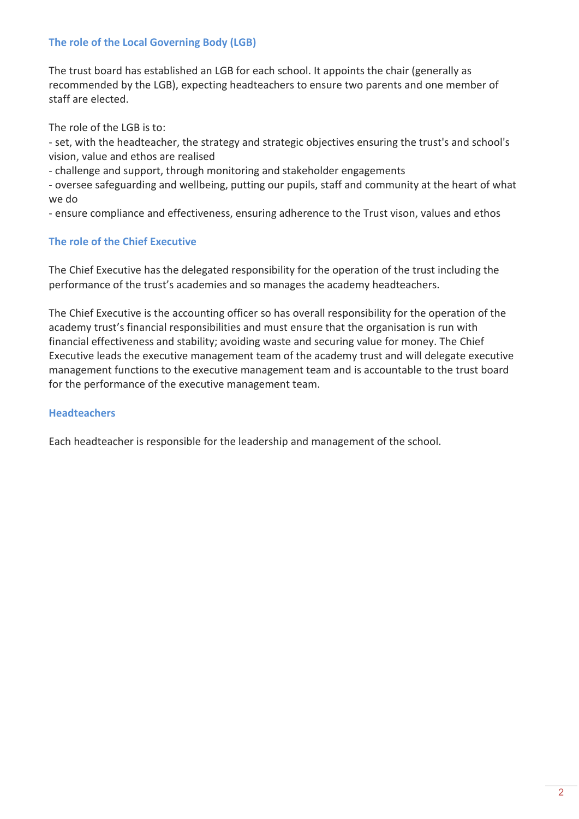### **The role of the Local Governing Body (LGB)**

The trust board has established an LGB for each school. It appoints the chair (generally as recommended by the LGB), expecting headteachers to ensure two parents and one member of staff are elected.

The role of the LGB is to:

- set, with the headteacher, the strategy and strategic objectives ensuring the trust's and school's vision, value and ethos are realised

- challenge and support, through monitoring and stakeholder engagements

- oversee safeguarding and wellbeing, putting our pupils, staff and community at the heart of what we do

- ensure compliance and effectiveness, ensuring adherence to the Trust vison, values and ethos

### **The role of the Chief Executive**

The Chief Executive has the delegated responsibility for the operation of the trust including the performance of the trust's academies and so manages the academy headteachers.

The Chief Executive is the accounting officer so has overall responsibility for the operation of the academy trust's financial responsibilities and must ensure that the organisation is run with financial effectiveness and stability; avoiding waste and securing value for money. The Chief Executive leads the executive management team of the academy trust and will delegate executive management functions to the executive management team and is accountable to the trust board for the performance of the executive management team.

### **Headteachers**

Each headteacher is responsible for the leadership and management of the school.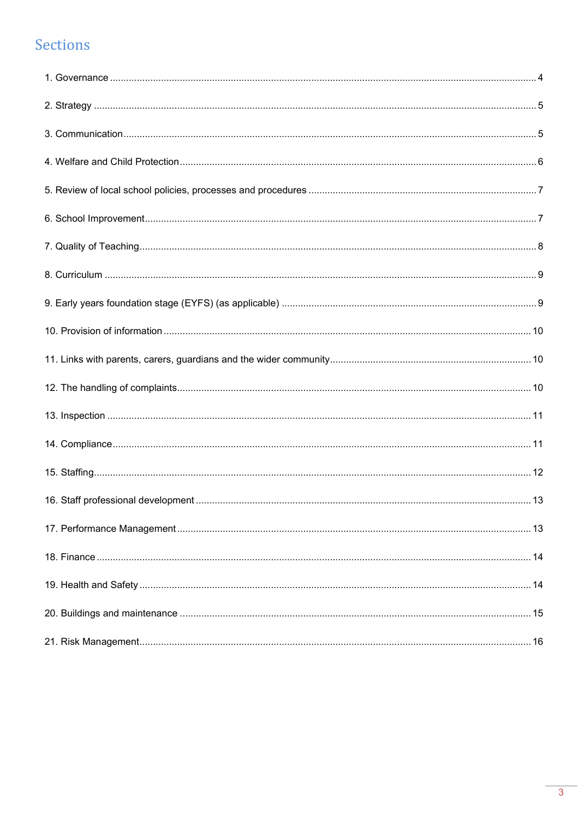# Sections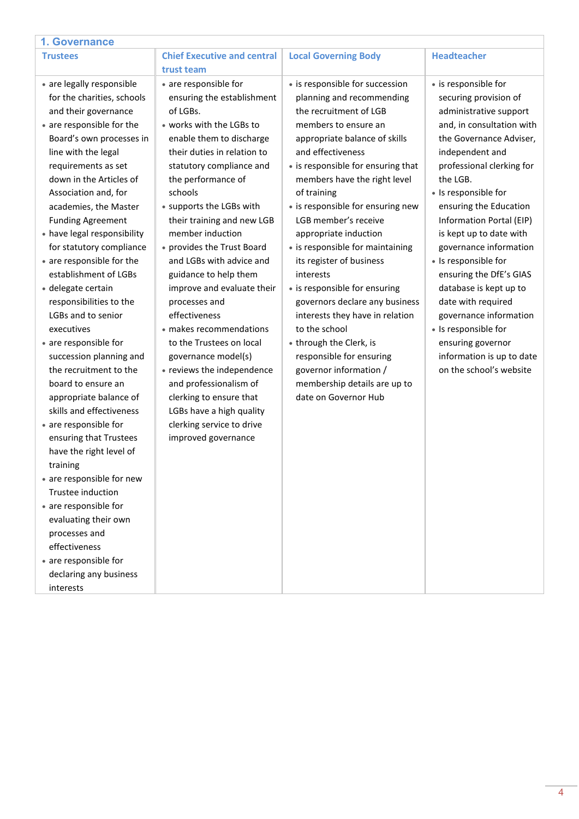<span id="page-3-0"></span>

| 1. Governance                                                                                                                                                                                                                                                                                                                                                                                                                                                                                                                                                                                                                                                                                                                                                                                                                                                                                                                                                 |                                                                                                                                                                                                                                                                                                                                                                                                                                                                                                                                                                                                                                                                                                       |                                                                                                                                                                                                                                                                                                                                                                                                                                                                                                                                                                                                                                                                                              |                                                                                                                                                                                                                                                                                                                                                                                                                                                                                                                                                                  |
|---------------------------------------------------------------------------------------------------------------------------------------------------------------------------------------------------------------------------------------------------------------------------------------------------------------------------------------------------------------------------------------------------------------------------------------------------------------------------------------------------------------------------------------------------------------------------------------------------------------------------------------------------------------------------------------------------------------------------------------------------------------------------------------------------------------------------------------------------------------------------------------------------------------------------------------------------------------|-------------------------------------------------------------------------------------------------------------------------------------------------------------------------------------------------------------------------------------------------------------------------------------------------------------------------------------------------------------------------------------------------------------------------------------------------------------------------------------------------------------------------------------------------------------------------------------------------------------------------------------------------------------------------------------------------------|----------------------------------------------------------------------------------------------------------------------------------------------------------------------------------------------------------------------------------------------------------------------------------------------------------------------------------------------------------------------------------------------------------------------------------------------------------------------------------------------------------------------------------------------------------------------------------------------------------------------------------------------------------------------------------------------|------------------------------------------------------------------------------------------------------------------------------------------------------------------------------------------------------------------------------------------------------------------------------------------------------------------------------------------------------------------------------------------------------------------------------------------------------------------------------------------------------------------------------------------------------------------|
| <b>Trustees</b>                                                                                                                                                                                                                                                                                                                                                                                                                                                                                                                                                                                                                                                                                                                                                                                                                                                                                                                                               | <b>Chief Executive and central</b>                                                                                                                                                                                                                                                                                                                                                                                                                                                                                                                                                                                                                                                                    | <b>Local Governing Body</b>                                                                                                                                                                                                                                                                                                                                                                                                                                                                                                                                                                                                                                                                  | <b>Headteacher</b>                                                                                                                                                                                                                                                                                                                                                                                                                                                                                                                                               |
|                                                                                                                                                                                                                                                                                                                                                                                                                                                                                                                                                                                                                                                                                                                                                                                                                                                                                                                                                               | trust team                                                                                                                                                                                                                                                                                                                                                                                                                                                                                                                                                                                                                                                                                            |                                                                                                                                                                                                                                                                                                                                                                                                                                                                                                                                                                                                                                                                                              |                                                                                                                                                                                                                                                                                                                                                                                                                                                                                                                                                                  |
| • are legally responsible<br>for the charities, schools<br>and their governance<br>• are responsible for the<br>Board's own processes in<br>line with the legal<br>requirements as set<br>down in the Articles of<br>Association and, for<br>academies, the Master<br><b>Funding Agreement</b><br>• have legal responsibility<br>for statutory compliance<br>• are responsible for the<br>establishment of LGBs<br>• delegate certain<br>responsibilities to the<br>LGBs and to senior<br>executives<br>• are responsible for<br>succession planning and<br>the recruitment to the<br>board to ensure an<br>appropriate balance of<br>skills and effectiveness<br>• are responsible for<br>ensuring that Trustees<br>have the right level of<br>training<br>• are responsible for new<br>Trustee induction<br>• are responsible for<br>evaluating their own<br>processes and<br>effectiveness<br>• are responsible for<br>declaring any business<br>interests | • are responsible for<br>ensuring the establishment<br>of LGBs.<br>• works with the LGBs to<br>enable them to discharge<br>their duties in relation to<br>statutory compliance and<br>the performance of<br>schools<br>• supports the LGBs with<br>their training and new LGB<br>member induction<br>• provides the Trust Board<br>and LGBs with advice and<br>guidance to help them<br>improve and evaluate their<br>processes and<br>effectiveness<br>· makes recommendations<br>to the Trustees on local<br>governance model(s)<br>• reviews the independence<br>and professionalism of<br>clerking to ensure that<br>LGBs have a high quality<br>clerking service to drive<br>improved governance | • is responsible for succession<br>planning and recommending<br>the recruitment of LGB<br>members to ensure an<br>appropriate balance of skills<br>and effectiveness<br>• is responsible for ensuring that<br>members have the right level<br>of training<br>• is responsible for ensuring new<br>LGB member's receive<br>appropriate induction<br>• is responsible for maintaining<br>its register of business<br>interests<br>• is responsible for ensuring<br>governors declare any business<br>interests they have in relation<br>to the school<br>• through the Clerk, is<br>responsible for ensuring<br>governor information /<br>membership details are up to<br>date on Governor Hub | • is responsible for<br>securing provision of<br>administrative support<br>and, in consultation with<br>the Governance Adviser,<br>independent and<br>professional clerking for<br>the LGB.<br>• Is responsible for<br>ensuring the Education<br>Information Portal (EIP)<br>is kept up to date with<br>governance information<br>• Is responsible for<br>ensuring the DfE's GIAS<br>database is kept up to<br>date with required<br>governance information<br>· Is responsible for<br>ensuring governor<br>information is up to date<br>on the school's website |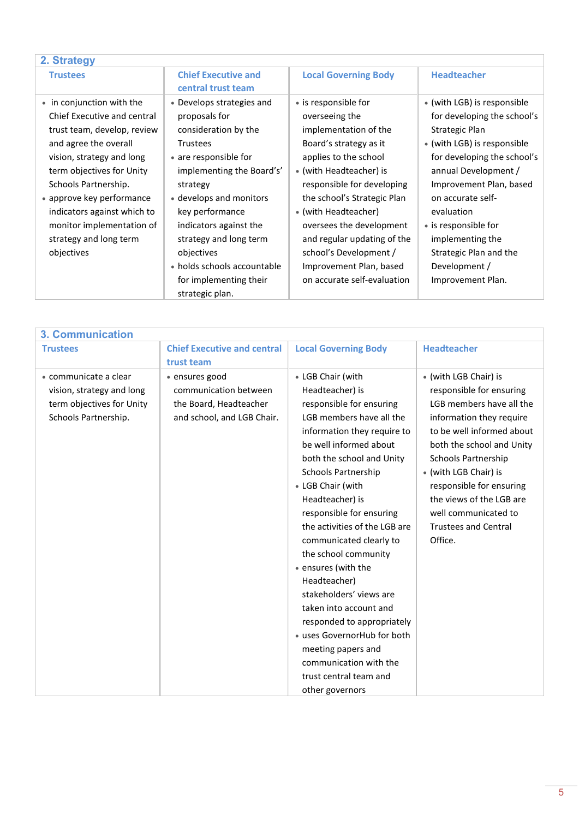<span id="page-4-0"></span>

| 2. Strategy                                                                                                                                                                                                                                                                                                                         |                                                                                                                                                                                                                                                                                                                                                     |                                                                                                                                                                                                                                                                                                                                                                                   |                                                                                                                                                                                                                                                                                                                                              |
|-------------------------------------------------------------------------------------------------------------------------------------------------------------------------------------------------------------------------------------------------------------------------------------------------------------------------------------|-----------------------------------------------------------------------------------------------------------------------------------------------------------------------------------------------------------------------------------------------------------------------------------------------------------------------------------------------------|-----------------------------------------------------------------------------------------------------------------------------------------------------------------------------------------------------------------------------------------------------------------------------------------------------------------------------------------------------------------------------------|----------------------------------------------------------------------------------------------------------------------------------------------------------------------------------------------------------------------------------------------------------------------------------------------------------------------------------------------|
| <b>Trustees</b>                                                                                                                                                                                                                                                                                                                     | <b>Chief Executive and</b><br>central trust team                                                                                                                                                                                                                                                                                                    | <b>Local Governing Body</b>                                                                                                                                                                                                                                                                                                                                                       | <b>Headteacher</b>                                                                                                                                                                                                                                                                                                                           |
| • in conjunction with the<br>Chief Executive and central<br>trust team, develop, review<br>and agree the overall<br>vision, strategy and long<br>term objectives for Unity<br>Schools Partnership.<br>• approve key performance<br>indicators against which to<br>monitor implementation of<br>strategy and long term<br>objectives | • Develops strategies and<br>proposals for<br>consideration by the<br><b>Trustees</b><br>• are responsible for<br>implementing the Board's'<br>strategy<br>• develops and monitors<br>key performance<br>indicators against the<br>strategy and long term<br>objectives<br>• holds schools accountable<br>for implementing their<br>strategic plan. | • is responsible for<br>overseeing the<br>implementation of the<br>Board's strategy as it<br>applies to the school<br>• (with Headteacher) is<br>responsible for developing<br>the school's Strategic Plan<br>• (with Headteacher)<br>oversees the development<br>and regular updating of the<br>school's Development /<br>Improvement Plan, based<br>on accurate self-evaluation | • (with LGB) is responsible<br>for developing the school's<br>Strategic Plan<br>• (with LGB) is responsible<br>for developing the school's<br>annual Development /<br>Improvement Plan, based<br>on accurate self-<br>evaluation<br>• is responsible for<br>implementing the<br>Strategic Plan and the<br>Development /<br>Improvement Plan. |

<span id="page-4-1"></span>

| <b>3. Communication</b>                                                                                 |                                                                                                 |                                                                                                                                                                                                                                                                                                                |                                                                                                                                                                                                                                                                                                                                           |
|---------------------------------------------------------------------------------------------------------|-------------------------------------------------------------------------------------------------|----------------------------------------------------------------------------------------------------------------------------------------------------------------------------------------------------------------------------------------------------------------------------------------------------------------|-------------------------------------------------------------------------------------------------------------------------------------------------------------------------------------------------------------------------------------------------------------------------------------------------------------------------------------------|
| <b>Trustees</b>                                                                                         | <b>Chief Executive and central</b><br>trust team                                                | <b>Local Governing Body</b>                                                                                                                                                                                                                                                                                    | <b>Headteacher</b>                                                                                                                                                                                                                                                                                                                        |
| • communicate a clear<br>vision, strategy and long<br>term objectives for Unity<br>Schools Partnership. | • ensures good<br>communication between<br>the Board, Headteacher<br>and school, and LGB Chair. | • LGB Chair (with<br>Headteacher) is<br>responsible for ensuring<br>LGB members have all the<br>information they require to<br>be well informed about<br>both the school and Unity<br>Schools Partnership<br>• LGB Chair (with<br>Headteacher) is<br>responsible for ensuring<br>the activities of the LGB are | • (with LGB Chair) is<br>responsible for ensuring<br>LGB members have all the<br>information they require<br>to be well informed about<br>both the school and Unity<br><b>Schools Partnership</b><br>• (with LGB Chair) is<br>responsible for ensuring<br>the views of the LGB are<br>well communicated to<br><b>Trustees and Central</b> |
|                                                                                                         |                                                                                                 | communicated clearly to<br>the school community<br>• ensures (with the<br>Headteacher)<br>stakeholders' views are<br>taken into account and<br>responded to appropriately<br>· uses GovernorHub for both<br>meeting papers and<br>communication with the<br>trust central team and<br>other governors          | Office.                                                                                                                                                                                                                                                                                                                                   |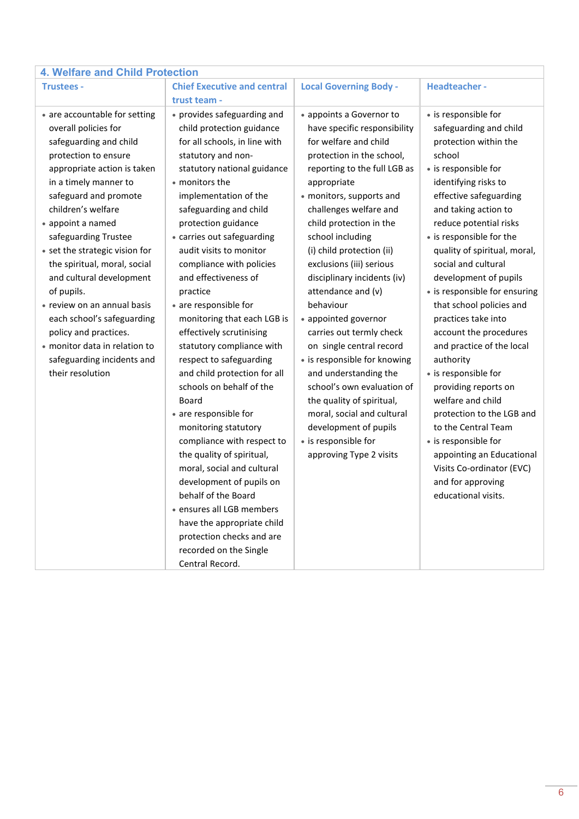<span id="page-5-0"></span>

| <b>4. Welfare and Child Protection</b>                                                                                                                                                                                                                                                                                                                                                                                                                                                                                                           |                                                                                                                                                                                                                                                                                                                                                                                                                                                                                                                                                                                                                                                                                                                                                            |                                                                                                                                                                                                                                                                                                                                                                                                                                                                                                                                                                                                                                                                                                             |                                                                                                                                                                                                                                                                                                                                                                                                                                                                                                                                                                                                                                                                                                                   |
|--------------------------------------------------------------------------------------------------------------------------------------------------------------------------------------------------------------------------------------------------------------------------------------------------------------------------------------------------------------------------------------------------------------------------------------------------------------------------------------------------------------------------------------------------|------------------------------------------------------------------------------------------------------------------------------------------------------------------------------------------------------------------------------------------------------------------------------------------------------------------------------------------------------------------------------------------------------------------------------------------------------------------------------------------------------------------------------------------------------------------------------------------------------------------------------------------------------------------------------------------------------------------------------------------------------------|-------------------------------------------------------------------------------------------------------------------------------------------------------------------------------------------------------------------------------------------------------------------------------------------------------------------------------------------------------------------------------------------------------------------------------------------------------------------------------------------------------------------------------------------------------------------------------------------------------------------------------------------------------------------------------------------------------------|-------------------------------------------------------------------------------------------------------------------------------------------------------------------------------------------------------------------------------------------------------------------------------------------------------------------------------------------------------------------------------------------------------------------------------------------------------------------------------------------------------------------------------------------------------------------------------------------------------------------------------------------------------------------------------------------------------------------|
| <b>Trustees -</b>                                                                                                                                                                                                                                                                                                                                                                                                                                                                                                                                | <b>Chief Executive and central</b>                                                                                                                                                                                                                                                                                                                                                                                                                                                                                                                                                                                                                                                                                                                         | <b>Local Governing Body -</b>                                                                                                                                                                                                                                                                                                                                                                                                                                                                                                                                                                                                                                                                               | <b>Headteacher-</b>                                                                                                                                                                                                                                                                                                                                                                                                                                                                                                                                                                                                                                                                                               |
|                                                                                                                                                                                                                                                                                                                                                                                                                                                                                                                                                  | trust team -                                                                                                                                                                                                                                                                                                                                                                                                                                                                                                                                                                                                                                                                                                                                               |                                                                                                                                                                                                                                                                                                                                                                                                                                                                                                                                                                                                                                                                                                             |                                                                                                                                                                                                                                                                                                                                                                                                                                                                                                                                                                                                                                                                                                                   |
| • are accountable for setting<br>overall policies for<br>safeguarding and child<br>protection to ensure<br>appropriate action is taken<br>in a timely manner to<br>safeguard and promote<br>children's welfare<br>• appoint a named<br>safeguarding Trustee<br>• set the strategic vision for<br>the spiritual, moral, social<br>and cultural development<br>of pupils.<br>• review on an annual basis<br>each school's safeguarding<br>policy and practices.<br>• monitor data in relation to<br>safeguarding incidents and<br>their resolution | • provides safeguarding and<br>child protection guidance<br>for all schools, in line with<br>statutory and non-<br>statutory national guidance<br>• monitors the<br>implementation of the<br>safeguarding and child<br>protection guidance<br>• carries out safeguarding<br>audit visits to monitor<br>compliance with policies<br>and effectiveness of<br>practice<br>• are responsible for<br>monitoring that each LGB is<br>effectively scrutinising<br>statutory compliance with<br>respect to safeguarding<br>and child protection for all<br>schools on behalf of the<br>Board<br>• are responsible for<br>monitoring statutory<br>compliance with respect to<br>the quality of spiritual,<br>moral, social and cultural<br>development of pupils on | • appoints a Governor to<br>have specific responsibility<br>for welfare and child<br>protection in the school,<br>reporting to the full LGB as<br>appropriate<br>· monitors, supports and<br>challenges welfare and<br>child protection in the<br>school including<br>(i) child protection (ii)<br>exclusions (iii) serious<br>disciplinary incidents (iv)<br>attendance and (v)<br>behaviour<br>• appointed governor<br>carries out termly check<br>on single central record<br>• is responsible for knowing<br>and understanding the<br>school's own evaluation of<br>the quality of spiritual,<br>moral, social and cultural<br>development of pupils<br>• is responsible for<br>approving Type 2 visits | • is responsible for<br>safeguarding and child<br>protection within the<br>school<br>• is responsible for<br>identifying risks to<br>effective safeguarding<br>and taking action to<br>reduce potential risks<br>• is responsible for the<br>quality of spiritual, moral,<br>social and cultural<br>development of pupils<br>• is responsible for ensuring<br>that school policies and<br>practices take into<br>account the procedures<br>and practice of the local<br>authority<br>• is responsible for<br>providing reports on<br>welfare and child<br>protection to the LGB and<br>to the Central Team<br>• is responsible for<br>appointing an Educational<br>Visits Co-ordinator (EVC)<br>and for approving |
|                                                                                                                                                                                                                                                                                                                                                                                                                                                                                                                                                  |                                                                                                                                                                                                                                                                                                                                                                                                                                                                                                                                                                                                                                                                                                                                                            |                                                                                                                                                                                                                                                                                                                                                                                                                                                                                                                                                                                                                                                                                                             |                                                                                                                                                                                                                                                                                                                                                                                                                                                                                                                                                                                                                                                                                                                   |
|                                                                                                                                                                                                                                                                                                                                                                                                                                                                                                                                                  |                                                                                                                                                                                                                                                                                                                                                                                                                                                                                                                                                                                                                                                                                                                                                            |                                                                                                                                                                                                                                                                                                                                                                                                                                                                                                                                                                                                                                                                                                             |                                                                                                                                                                                                                                                                                                                                                                                                                                                                                                                                                                                                                                                                                                                   |
|                                                                                                                                                                                                                                                                                                                                                                                                                                                                                                                                                  | behalf of the Board<br>· ensures all LGB members                                                                                                                                                                                                                                                                                                                                                                                                                                                                                                                                                                                                                                                                                                           |                                                                                                                                                                                                                                                                                                                                                                                                                                                                                                                                                                                                                                                                                                             | educational visits.                                                                                                                                                                                                                                                                                                                                                                                                                                                                                                                                                                                                                                                                                               |
|                                                                                                                                                                                                                                                                                                                                                                                                                                                                                                                                                  |                                                                                                                                                                                                                                                                                                                                                                                                                                                                                                                                                                                                                                                                                                                                                            |                                                                                                                                                                                                                                                                                                                                                                                                                                                                                                                                                                                                                                                                                                             |                                                                                                                                                                                                                                                                                                                                                                                                                                                                                                                                                                                                                                                                                                                   |
|                                                                                                                                                                                                                                                                                                                                                                                                                                                                                                                                                  | have the appropriate child                                                                                                                                                                                                                                                                                                                                                                                                                                                                                                                                                                                                                                                                                                                                 |                                                                                                                                                                                                                                                                                                                                                                                                                                                                                                                                                                                                                                                                                                             |                                                                                                                                                                                                                                                                                                                                                                                                                                                                                                                                                                                                                                                                                                                   |
|                                                                                                                                                                                                                                                                                                                                                                                                                                                                                                                                                  | protection checks and are                                                                                                                                                                                                                                                                                                                                                                                                                                                                                                                                                                                                                                                                                                                                  |                                                                                                                                                                                                                                                                                                                                                                                                                                                                                                                                                                                                                                                                                                             |                                                                                                                                                                                                                                                                                                                                                                                                                                                                                                                                                                                                                                                                                                                   |
|                                                                                                                                                                                                                                                                                                                                                                                                                                                                                                                                                  | recorded on the Single                                                                                                                                                                                                                                                                                                                                                                                                                                                                                                                                                                                                                                                                                                                                     |                                                                                                                                                                                                                                                                                                                                                                                                                                                                                                                                                                                                                                                                                                             |                                                                                                                                                                                                                                                                                                                                                                                                                                                                                                                                                                                                                                                                                                                   |
|                                                                                                                                                                                                                                                                                                                                                                                                                                                                                                                                                  | Central Record.                                                                                                                                                                                                                                                                                                                                                                                                                                                                                                                                                                                                                                                                                                                                            |                                                                                                                                                                                                                                                                                                                                                                                                                                                                                                                                                                                                                                                                                                             |                                                                                                                                                                                                                                                                                                                                                                                                                                                                                                                                                                                                                                                                                                                   |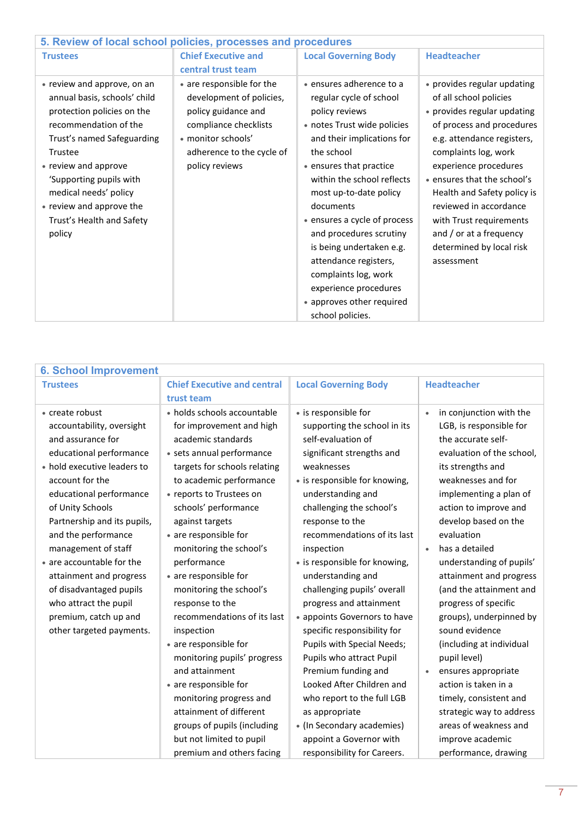<span id="page-6-0"></span>

| 5. Review of local school policies, processes and procedures                                                                                                                                                                                                                                               |                                                                                                                                                                            |                                                                                                                                                                                                                                                                                                                                                                                                                                                                    |                                                                                                                                                                                                                                                                                                                                                                                          |
|------------------------------------------------------------------------------------------------------------------------------------------------------------------------------------------------------------------------------------------------------------------------------------------------------------|----------------------------------------------------------------------------------------------------------------------------------------------------------------------------|--------------------------------------------------------------------------------------------------------------------------------------------------------------------------------------------------------------------------------------------------------------------------------------------------------------------------------------------------------------------------------------------------------------------------------------------------------------------|------------------------------------------------------------------------------------------------------------------------------------------------------------------------------------------------------------------------------------------------------------------------------------------------------------------------------------------------------------------------------------------|
| <b>Trustees</b>                                                                                                                                                                                                                                                                                            | <b>Chief Executive and</b>                                                                                                                                                 | <b>Local Governing Body</b>                                                                                                                                                                                                                                                                                                                                                                                                                                        | <b>Headteacher</b>                                                                                                                                                                                                                                                                                                                                                                       |
|                                                                                                                                                                                                                                                                                                            | central trust team                                                                                                                                                         |                                                                                                                                                                                                                                                                                                                                                                                                                                                                    |                                                                                                                                                                                                                                                                                                                                                                                          |
| • review and approve, on an<br>annual basis, schools' child<br>protection policies on the<br>recommendation of the<br>Trust's named Safeguarding<br>Trustee<br>• review and approve<br>'Supporting pupils with<br>medical needs' policy<br>• review and approve the<br>Trust's Health and Safety<br>policy | • are responsible for the<br>development of policies,<br>policy guidance and<br>compliance checklists<br>• monitor schools'<br>adherence to the cycle of<br>policy reviews | • ensures adherence to a<br>regular cycle of school<br>policy reviews<br>• notes Trust wide policies<br>and their implications for<br>the school<br>• ensures that practice<br>within the school reflects<br>most up-to-date policy<br>documents<br>• ensures a cycle of process<br>and procedures scrutiny<br>is being undertaken e.g.<br>attendance registers,<br>complaints log, work<br>experience procedures<br>• approves other required<br>school policies. | • provides regular updating<br>of all school policies<br>• provides regular updating<br>of process and procedures<br>e.g. attendance registers,<br>complaints log, work<br>experience procedures<br>• ensures that the school's<br>Health and Safety policy is<br>reviewed in accordance<br>with Trust requirements<br>and / or at a frequency<br>determined by local risk<br>assessment |

<span id="page-6-1"></span>

| <b>6. School Improvement</b> |                                    |                               |                                      |
|------------------------------|------------------------------------|-------------------------------|--------------------------------------|
| <b>Trustees</b>              | <b>Chief Executive and central</b> | <b>Local Governing Body</b>   | <b>Headteacher</b>                   |
|                              | trust team                         |                               |                                      |
| • create robust              | • holds schools accountable        | • is responsible for          | in conjunction with the<br>$\bullet$ |
| accountability, oversight    | for improvement and high           | supporting the school in its  | LGB, is responsible for              |
| and assurance for            | academic standards                 | self-evaluation of            | the accurate self-                   |
| educational performance      | · sets annual performance          | significant strengths and     | evaluation of the school,            |
| • hold executive leaders to  | targets for schools relating       | weaknesses                    | its strengths and                    |
| account for the              | to academic performance            | • is responsible for knowing, | weaknesses and for                   |
| educational performance      | • reports to Trustees on           | understanding and             | implementing a plan of               |
| of Unity Schools             | schools' performance               | challenging the school's      | action to improve and                |
| Partnership and its pupils,  | against targets                    | response to the               | develop based on the                 |
| and the performance          | • are responsible for              | recommendations of its last   | evaluation                           |
| management of staff          | monitoring the school's            | inspection                    | has a detailed                       |
| • are accountable for the    | performance                        | • is responsible for knowing, | understanding of pupils'             |
| attainment and progress      | • are responsible for              | understanding and             | attainment and progress              |
| of disadvantaged pupils      | monitoring the school's            | challenging pupils' overall   | (and the attainment and              |
| who attract the pupil        | response to the                    | progress and attainment       | progress of specific                 |
| premium, catch up and        | recommendations of its last        | • appoints Governors to have  | groups), underpinned by              |
| other targeted payments.     | inspection                         | specific responsibility for   | sound evidence                       |
|                              | • are responsible for              | Pupils with Special Needs;    | (including at individual             |
|                              | monitoring pupils' progress        | Pupils who attract Pupil      | pupil level)                         |
|                              | and attainment                     | Premium funding and           | ensures appropriate                  |
|                              | • are responsible for              | Looked After Children and     | action is taken in a                 |
|                              | monitoring progress and            | who report to the full LGB    | timely, consistent and               |
|                              | attainment of different            | as appropriate                | strategic way to address             |
|                              | groups of pupils (including        | • (In Secondary academies)    | areas of weakness and                |
|                              | but not limited to pupil           | appoint a Governor with       | improve academic                     |
|                              | premium and others facing          | responsibility for Careers.   | performance, drawing                 |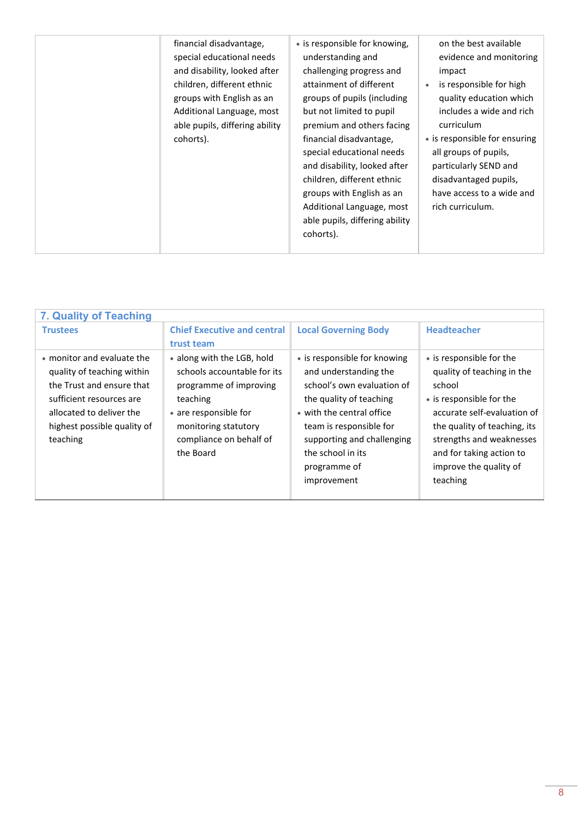| financial disadvantage,<br>special educational needs<br>and disability, looked after<br>children, different ethnic<br>groups with English as an<br>Additional Language, most<br>able pupils, differing ability<br>cohorts). | • is responsible for knowing,<br>understanding and<br>challenging progress and<br>attainment of different<br>groups of pupils (including<br>but not limited to pupil<br>premium and others facing<br>financial disadvantage,<br>special educational needs<br>and disability, looked after<br>children, different ethnic<br>groups with English as an<br>Additional Language, most<br>able pupils, differing ability<br>cohorts). | on the best available<br>evidence and monitoring<br>impact<br>is responsible for high<br>quality education which<br>includes a wide and rich<br>curriculum<br>• is responsible for ensuring<br>all groups of pupils,<br>particularly SEND and<br>disadvantaged pupils,<br>have access to a wide and<br>rich curriculum. |
|-----------------------------------------------------------------------------------------------------------------------------------------------------------------------------------------------------------------------------|----------------------------------------------------------------------------------------------------------------------------------------------------------------------------------------------------------------------------------------------------------------------------------------------------------------------------------------------------------------------------------------------------------------------------------|-------------------------------------------------------------------------------------------------------------------------------------------------------------------------------------------------------------------------------------------------------------------------------------------------------------------------|
|-----------------------------------------------------------------------------------------------------------------------------------------------------------------------------------------------------------------------------|----------------------------------------------------------------------------------------------------------------------------------------------------------------------------------------------------------------------------------------------------------------------------------------------------------------------------------------------------------------------------------------------------------------------------------|-------------------------------------------------------------------------------------------------------------------------------------------------------------------------------------------------------------------------------------------------------------------------------------------------------------------------|

<span id="page-7-0"></span>

| 7. Quality of Teaching                                                                                                                                                                                                                                                                                                                                                               |                                                                                                                                                                                                                                                          |                                                                                                                                                                                                                                                           |
|--------------------------------------------------------------------------------------------------------------------------------------------------------------------------------------------------------------------------------------------------------------------------------------------------------------------------------------------------------------------------------------|----------------------------------------------------------------------------------------------------------------------------------------------------------------------------------------------------------------------------------------------------------|-----------------------------------------------------------------------------------------------------------------------------------------------------------------------------------------------------------------------------------------------------------|
| <b>Chief Executive and central</b><br><b>Trustees</b>                                                                                                                                                                                                                                                                                                                                | <b>Local Governing Body</b>                                                                                                                                                                                                                              | <b>Headteacher</b>                                                                                                                                                                                                                                        |
| trust team                                                                                                                                                                                                                                                                                                                                                                           |                                                                                                                                                                                                                                                          |                                                                                                                                                                                                                                                           |
| • monitor and evaluate the<br>• along with the LGB, hold<br>schools accountable for its<br>quality of teaching within<br>the Trust and ensure that<br>programme of improving<br>sufficient resources are<br>teaching<br>allocated to deliver the<br>• are responsible for<br>highest possible quality of<br>monitoring statutory<br>compliance on behalf of<br>teaching<br>the Board | • is responsible for knowing<br>and understanding the<br>school's own evaluation of<br>the quality of teaching<br>• with the central office<br>team is responsible for<br>supporting and challenging<br>the school in its<br>programme of<br>improvement | • is responsible for the<br>quality of teaching in the<br>school<br>• is responsible for the<br>accurate self-evaluation of<br>the quality of teaching, its<br>strengths and weaknesses<br>and for taking action to<br>improve the quality of<br>teaching |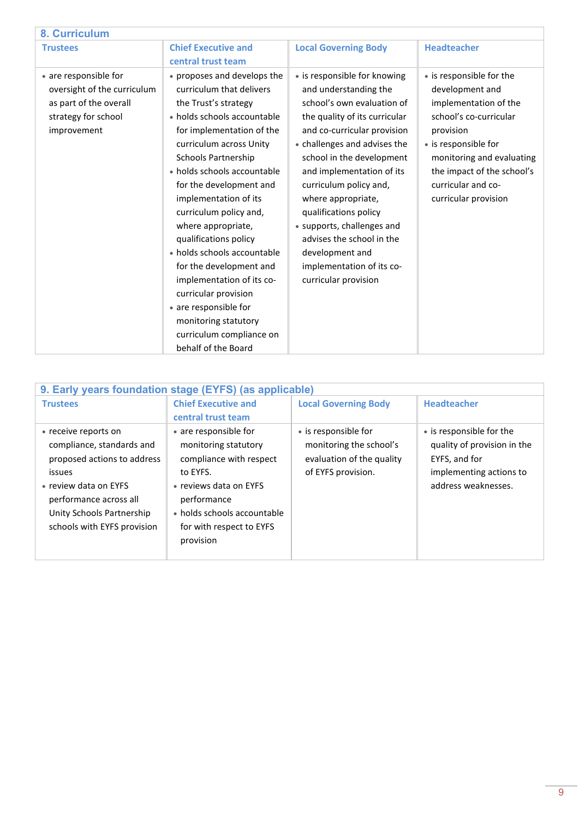<span id="page-8-0"></span>

| 8. Curriculum               |                             |                               |                            |
|-----------------------------|-----------------------------|-------------------------------|----------------------------|
| <b>Trustees</b>             | <b>Chief Executive and</b>  | <b>Local Governing Body</b>   | <b>Headteacher</b>         |
|                             | central trust team          |                               |                            |
| • are responsible for       | • proposes and develops the | • is responsible for knowing  | • is responsible for the   |
| oversight of the curriculum | curriculum that delivers    | and understanding the         | development and            |
| as part of the overall      | the Trust's strategy        | school's own evaluation of    | implementation of the      |
| strategy for school         | • holds schools accountable | the quality of its curricular | school's co-curricular     |
| improvement                 | for implementation of the   | and co-curricular provision   | provision                  |
|                             | curriculum across Unity     | • challenges and advises the  | • is responsible for       |
|                             | Schools Partnership         | school in the development     | monitoring and evaluating  |
|                             | • holds schools accountable | and implementation of its     | the impact of the school's |
|                             | for the development and     | curriculum policy and,        | curricular and co-         |
|                             | implementation of its       | where appropriate,            | curricular provision       |
|                             | curriculum policy and,      | qualifications policy         |                            |
|                             | where appropriate,          | • supports, challenges and    |                            |
|                             | qualifications policy       | advises the school in the     |                            |
|                             | • holds schools accountable | development and               |                            |
|                             | for the development and     | implementation of its co-     |                            |
|                             | implementation of its co-   | curricular provision          |                            |
|                             | curricular provision        |                               |                            |
|                             | • are responsible for       |                               |                            |
|                             | monitoring statutory        |                               |                            |
|                             | curriculum compliance on    |                               |                            |
|                             | behalf of the Board         |                               |                            |

<span id="page-8-1"></span>

| 9. Early years foundation stage (EYFS) (as applicable)                                                                                                                                                    |                                                                                                                                                                                                       |                                                                                                    |                                                                                                                            |
|-----------------------------------------------------------------------------------------------------------------------------------------------------------------------------------------------------------|-------------------------------------------------------------------------------------------------------------------------------------------------------------------------------------------------------|----------------------------------------------------------------------------------------------------|----------------------------------------------------------------------------------------------------------------------------|
| <b>Trustees</b>                                                                                                                                                                                           | <b>Chief Executive and</b>                                                                                                                                                                            | <b>Local Governing Body</b>                                                                        | <b>Headteacher</b>                                                                                                         |
|                                                                                                                                                                                                           | central trust team                                                                                                                                                                                    |                                                                                                    |                                                                                                                            |
| • receive reports on<br>compliance, standards and<br>proposed actions to address<br>issues<br>• review data on EYFS<br>performance across all<br>Unity Schools Partnership<br>schools with EYFS provision | • are responsible for<br>monitoring statutory<br>compliance with respect<br>to EYFS.<br>• reviews data on EYFS<br>performance<br>• holds schools accountable<br>for with respect to EYFS<br>provision | • is responsible for<br>monitoring the school's<br>evaluation of the quality<br>of EYFS provision. | • is responsible for the<br>quality of provision in the<br>EYFS, and for<br>implementing actions to<br>address weaknesses. |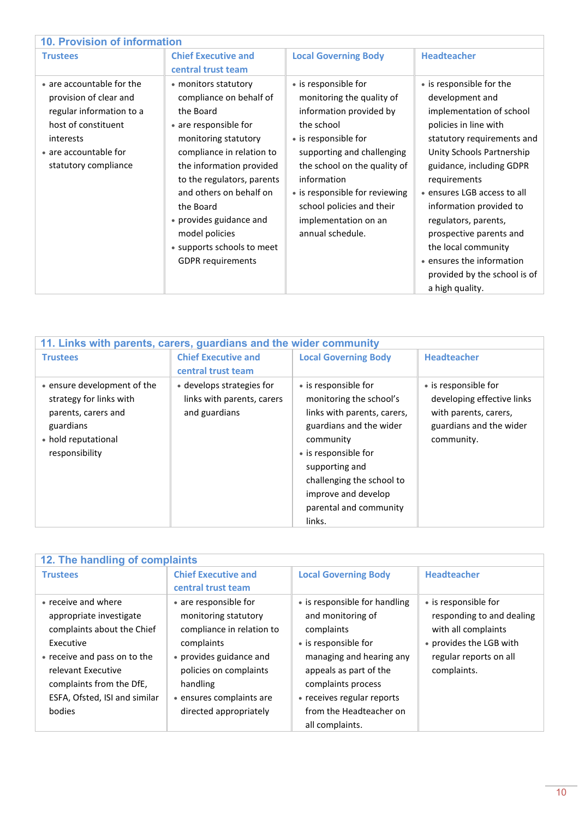<span id="page-9-0"></span>

| <b>10. Provision of information</b>                                                                                                                                  |                                                                                                                                                                                                                                                                                                                                                     |                                                                                                                                                                                                                                                                                                            |                                                                                                                                                                                                                                                                                                                                                                                                                             |
|----------------------------------------------------------------------------------------------------------------------------------------------------------------------|-----------------------------------------------------------------------------------------------------------------------------------------------------------------------------------------------------------------------------------------------------------------------------------------------------------------------------------------------------|------------------------------------------------------------------------------------------------------------------------------------------------------------------------------------------------------------------------------------------------------------------------------------------------------------|-----------------------------------------------------------------------------------------------------------------------------------------------------------------------------------------------------------------------------------------------------------------------------------------------------------------------------------------------------------------------------------------------------------------------------|
| <b>Trustees</b>                                                                                                                                                      | <b>Chief Executive and</b><br>central trust team                                                                                                                                                                                                                                                                                                    | <b>Local Governing Body</b>                                                                                                                                                                                                                                                                                | <b>Headteacher</b>                                                                                                                                                                                                                                                                                                                                                                                                          |
| • are accountable for the<br>provision of clear and<br>regular information to a<br>host of constituent<br>interests<br>• are accountable for<br>statutory compliance | • monitors statutory<br>compliance on behalf of<br>the Board<br>• are responsible for<br>monitoring statutory<br>compliance in relation to<br>the information provided<br>to the regulators, parents<br>and others on behalf on<br>the Board<br>• provides guidance and<br>model policies<br>• supports schools to meet<br><b>GDPR</b> requirements | • is responsible for<br>monitoring the quality of<br>information provided by<br>the school<br>• is responsible for<br>supporting and challenging<br>the school on the quality of<br>information<br>• is responsible for reviewing<br>school policies and their<br>implementation on an<br>annual schedule. | • is responsible for the<br>development and<br>implementation of school<br>policies in line with<br>statutory requirements and<br>Unity Schools Partnership<br>guidance, including GDPR<br>requirements<br>· ensures LGB access to all<br>information provided to<br>regulators, parents,<br>prospective parents and<br>the local community<br>• ensures the information<br>provided by the school is of<br>a high quality. |

<span id="page-9-1"></span>

| 11. Links with parents, carers, guardians and the wider community                                                                   |                                                                          |                                                                                                                                                                                                                                                          |                                                                                                                      |
|-------------------------------------------------------------------------------------------------------------------------------------|--------------------------------------------------------------------------|----------------------------------------------------------------------------------------------------------------------------------------------------------------------------------------------------------------------------------------------------------|----------------------------------------------------------------------------------------------------------------------|
| <b>Trustees</b>                                                                                                                     | <b>Chief Executive and</b><br>central trust team                         | <b>Local Governing Body</b>                                                                                                                                                                                                                              | <b>Headteacher</b>                                                                                                   |
| • ensure development of the<br>strategy for links with<br>parents, carers and<br>guardians<br>• hold reputational<br>responsibility | • develops strategies for<br>links with parents, carers<br>and guardians | • is responsible for<br>monitoring the school's<br>links with parents, carers,<br>guardians and the wider<br>community<br>• is responsible for<br>supporting and<br>challenging the school to<br>improve and develop<br>parental and community<br>links. | • is responsible for<br>developing effective links<br>with parents, carers,<br>guardians and the wider<br>community. |

<span id="page-9-2"></span>

| 12. The handling of complaints |                            |                               |                           |
|--------------------------------|----------------------------|-------------------------------|---------------------------|
| <b>Trustees</b>                | <b>Chief Executive and</b> | <b>Local Governing Body</b>   | <b>Headteacher</b>        |
|                                | central trust team         |                               |                           |
| • receive and where            | • are responsible for      | • is responsible for handling | • is responsible for      |
| appropriate investigate        | monitoring statutory       | and monitoring of             | responding to and dealing |
| complaints about the Chief     | compliance in relation to  | complaints                    | with all complaints       |
| Executive                      | complaints                 | • is responsible for          | • provides the LGB with   |
| • receive and pass on to the   | • provides guidance and    | managing and hearing any      | regular reports on all    |
| relevant Executive             | policies on complaints     | appeals as part of the        | complaints.               |
| complaints from the DfE,       | handling                   | complaints process            |                           |
| ESFA, Ofsted, ISI and similar  | • ensures complaints are   | • receives regular reports    |                           |
| bodies                         | directed appropriately     | from the Headteacher on       |                           |
|                                |                            | all complaints.               |                           |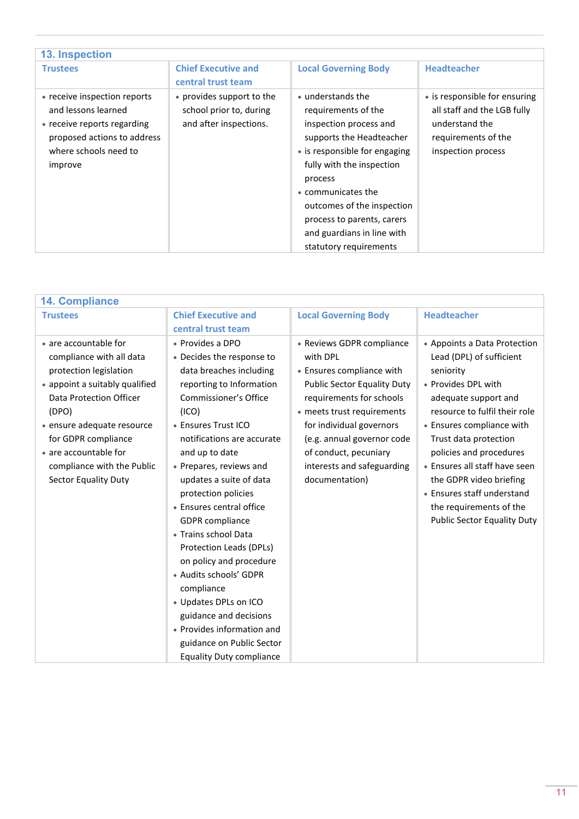<span id="page-10-0"></span>

| <b>13. Inspection</b>                                                                                                                                 |                                                                                |                                                                                                                                                                                                                                                                                                                   |                                                                                                                             |
|-------------------------------------------------------------------------------------------------------------------------------------------------------|--------------------------------------------------------------------------------|-------------------------------------------------------------------------------------------------------------------------------------------------------------------------------------------------------------------------------------------------------------------------------------------------------------------|-----------------------------------------------------------------------------------------------------------------------------|
| <b>Trustees</b>                                                                                                                                       | <b>Chief Executive and</b><br>central trust team                               | <b>Local Governing Body</b>                                                                                                                                                                                                                                                                                       | <b>Headteacher</b>                                                                                                          |
| • receive inspection reports<br>and lessons learned<br>• receive reports regarding<br>proposed actions to address<br>where schools need to<br>improve | • provides support to the<br>school prior to, during<br>and after inspections. | • understands the<br>requirements of the<br>inspection process and<br>supports the Headteacher<br>• is responsible for engaging<br>fully with the inspection<br>process<br>• communicates the<br>outcomes of the inspection<br>process to parents, carers<br>and guardians in line with<br>statutory requirements | • is responsible for ensuring<br>all staff and the LGB fully<br>understand the<br>requirements of the<br>inspection process |

<span id="page-10-1"></span>

| <b>14. Compliance</b>                                                                                                                                                                                                                                                                 |                                                                                                                                                                                                                                                                                                                                                                                                                                                                                                                                                                                                                                |                                                                                                                                                                                                                                                                                                       |                                                                                                                                                                                                                                                                                                                                                                                                   |
|---------------------------------------------------------------------------------------------------------------------------------------------------------------------------------------------------------------------------------------------------------------------------------------|--------------------------------------------------------------------------------------------------------------------------------------------------------------------------------------------------------------------------------------------------------------------------------------------------------------------------------------------------------------------------------------------------------------------------------------------------------------------------------------------------------------------------------------------------------------------------------------------------------------------------------|-------------------------------------------------------------------------------------------------------------------------------------------------------------------------------------------------------------------------------------------------------------------------------------------------------|---------------------------------------------------------------------------------------------------------------------------------------------------------------------------------------------------------------------------------------------------------------------------------------------------------------------------------------------------------------------------------------------------|
| <b>Trustees</b>                                                                                                                                                                                                                                                                       | <b>Chief Executive and</b><br>central trust team                                                                                                                                                                                                                                                                                                                                                                                                                                                                                                                                                                               | <b>Local Governing Body</b>                                                                                                                                                                                                                                                                           | <b>Headteacher</b>                                                                                                                                                                                                                                                                                                                                                                                |
| • are accountable for<br>compliance with all data<br>protection legislation<br>• appoint a suitably qualified<br>Data Protection Officer<br>(DPO)<br>· ensure adequate resource<br>for GDPR compliance<br>• are accountable for<br>compliance with the Public<br>Sector Equality Duty | • Provides a DPO<br>• Decides the response to<br>data breaches including<br>reporting to Information<br><b>Commissioner's Office</b><br>(ICO)<br>• Ensures Trust ICO<br>notifications are accurate<br>and up to date<br>• Prepares, reviews and<br>updates a suite of data<br>protection policies<br>• Ensures central office<br><b>GDPR</b> compliance<br>• Trains school Data<br>Protection Leads (DPLs)<br>on policy and procedure<br>• Audits schools' GDPR<br>compliance<br>· Updates DPLs on ICO<br>guidance and decisions<br>• Provides information and<br>guidance on Public Sector<br><b>Equality Duty compliance</b> | • Reviews GDPR compliance<br>with DPL<br>• Ensures compliance with<br><b>Public Sector Equality Duty</b><br>requirements for schools<br>• meets trust requirements<br>for individual governors<br>(e.g. annual governor code<br>of conduct, pecuniary<br>interests and safeguarding<br>documentation) | • Appoints a Data Protection<br>Lead (DPL) of sufficient<br>seniority<br>• Provides DPL with<br>adequate support and<br>resource to fulfil their role<br>• Ensures compliance with<br>Trust data protection<br>policies and procedures<br>• Ensures all staff have seen<br>the GDPR video briefing<br>• Ensures staff understand<br>the requirements of the<br><b>Public Sector Equality Duty</b> |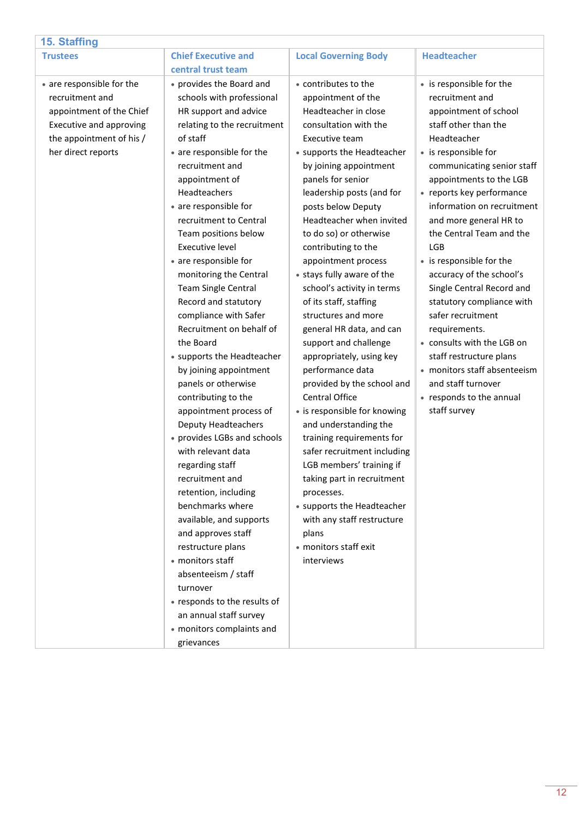<span id="page-11-0"></span>

| 15. Staffing                                                                                                                                          |                                                                                                                                                                                                                                                                                                                                                                                                                                                                                                                                                                                                                                                                                                                                                                                                                                                                                                                                                                                                                      |                                                                                                                                                                                                                                                                                                                                                                                                                                                                                                                                                                                                                                                                                                                                                                                                                                                                                                                              |                                                                                                                                                                                                                                                                                                                                                                                                                                                                                                                                                                                                                                         |
|-------------------------------------------------------------------------------------------------------------------------------------------------------|----------------------------------------------------------------------------------------------------------------------------------------------------------------------------------------------------------------------------------------------------------------------------------------------------------------------------------------------------------------------------------------------------------------------------------------------------------------------------------------------------------------------------------------------------------------------------------------------------------------------------------------------------------------------------------------------------------------------------------------------------------------------------------------------------------------------------------------------------------------------------------------------------------------------------------------------------------------------------------------------------------------------|------------------------------------------------------------------------------------------------------------------------------------------------------------------------------------------------------------------------------------------------------------------------------------------------------------------------------------------------------------------------------------------------------------------------------------------------------------------------------------------------------------------------------------------------------------------------------------------------------------------------------------------------------------------------------------------------------------------------------------------------------------------------------------------------------------------------------------------------------------------------------------------------------------------------------|-----------------------------------------------------------------------------------------------------------------------------------------------------------------------------------------------------------------------------------------------------------------------------------------------------------------------------------------------------------------------------------------------------------------------------------------------------------------------------------------------------------------------------------------------------------------------------------------------------------------------------------------|
| <b>Trustees</b>                                                                                                                                       | <b>Chief Executive and</b>                                                                                                                                                                                                                                                                                                                                                                                                                                                                                                                                                                                                                                                                                                                                                                                                                                                                                                                                                                                           | <b>Local Governing Body</b>                                                                                                                                                                                                                                                                                                                                                                                                                                                                                                                                                                                                                                                                                                                                                                                                                                                                                                  | <b>Headteacher</b>                                                                                                                                                                                                                                                                                                                                                                                                                                                                                                                                                                                                                      |
|                                                                                                                                                       | central trust team                                                                                                                                                                                                                                                                                                                                                                                                                                                                                                                                                                                                                                                                                                                                                                                                                                                                                                                                                                                                   |                                                                                                                                                                                                                                                                                                                                                                                                                                                                                                                                                                                                                                                                                                                                                                                                                                                                                                                              |                                                                                                                                                                                                                                                                                                                                                                                                                                                                                                                                                                                                                                         |
| • are responsible for the<br>recruitment and<br>appointment of the Chief<br>Executive and approving<br>the appointment of his /<br>her direct reports | • provides the Board and<br>schools with professional<br>HR support and advice<br>relating to the recruitment<br>of staff<br>• are responsible for the<br>recruitment and<br>appointment of<br>Headteachers<br>• are responsible for<br>recruitment to Central<br>Team positions below<br><b>Executive level</b><br>• are responsible for<br>monitoring the Central<br><b>Team Single Central</b><br>Record and statutory<br>compliance with Safer<br>Recruitment on behalf of<br>the Board<br>• supports the Headteacher<br>by joining appointment<br>panels or otherwise<br>contributing to the<br>appointment process of<br><b>Deputy Headteachers</b><br>• provides LGBs and schools<br>with relevant data<br>regarding staff<br>recruitment and<br>retention, including<br>benchmarks where<br>available, and supports<br>and approves staff<br>restructure plans<br>• monitors staff<br>absenteeism / staff<br>turnover<br>• responds to the results of<br>an annual staff survey<br>• monitors complaints and | • contributes to the<br>appointment of the<br>Headteacher in close<br>consultation with the<br>Executive team<br>• supports the Headteacher<br>by joining appointment<br>panels for senior<br>leadership posts (and for<br>posts below Deputy<br>Headteacher when invited<br>to do so) or otherwise<br>contributing to the<br>appointment process<br>• stays fully aware of the<br>school's activity in terms<br>of its staff, staffing<br>structures and more<br>general HR data, and can<br>support and challenge<br>appropriately, using key<br>performance data<br>provided by the school and<br>Central Office<br>• is responsible for knowing<br>and understanding the<br>training requirements for<br>safer recruitment including<br>LGB members' training if<br>taking part in recruitment<br>processes.<br>• supports the Headteacher<br>with any staff restructure<br>plans<br>· monitors staff exit<br>interviews | • is responsible for the<br>recruitment and<br>appointment of school<br>staff other than the<br>Headteacher<br>• is responsible for<br>communicating senior staff<br>appointments to the LGB<br>• reports key performance<br>information on recruitment<br>and more general HR to<br>the Central Team and the<br>LGB<br>• is responsible for the<br>accuracy of the school's<br>Single Central Record and<br>statutory compliance with<br>safer recruitment<br>requirements.<br>• consults with the LGB on<br>staff restructure plans<br>• monitors staff absenteeism<br>and staff turnover<br>• responds to the annual<br>staff survey |
|                                                                                                                                                       | grievances                                                                                                                                                                                                                                                                                                                                                                                                                                                                                                                                                                                                                                                                                                                                                                                                                                                                                                                                                                                                           |                                                                                                                                                                                                                                                                                                                                                                                                                                                                                                                                                                                                                                                                                                                                                                                                                                                                                                                              |                                                                                                                                                                                                                                                                                                                                                                                                                                                                                                                                                                                                                                         |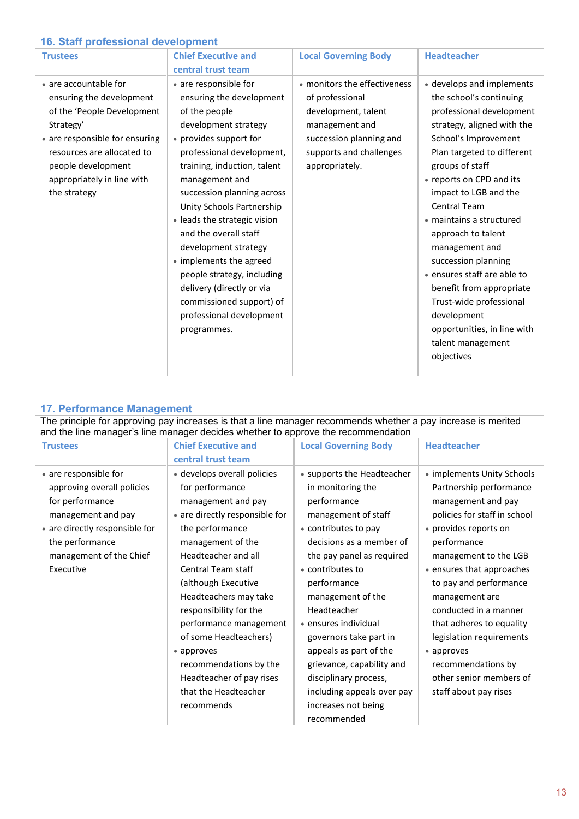<span id="page-12-0"></span>

| 16. Staff professional development                                                                                                                                                                                               |                                                                                                                                                                                                                                                                                                                                                                                                                                                                                                             |                                                                                                                                                                  |                                                                                                                                                                                                                                                                                                                                                                                                                                                                                                                                |
|----------------------------------------------------------------------------------------------------------------------------------------------------------------------------------------------------------------------------------|-------------------------------------------------------------------------------------------------------------------------------------------------------------------------------------------------------------------------------------------------------------------------------------------------------------------------------------------------------------------------------------------------------------------------------------------------------------------------------------------------------------|------------------------------------------------------------------------------------------------------------------------------------------------------------------|--------------------------------------------------------------------------------------------------------------------------------------------------------------------------------------------------------------------------------------------------------------------------------------------------------------------------------------------------------------------------------------------------------------------------------------------------------------------------------------------------------------------------------|
| <b>Trustees</b>                                                                                                                                                                                                                  | <b>Chief Executive and</b>                                                                                                                                                                                                                                                                                                                                                                                                                                                                                  | <b>Local Governing Body</b>                                                                                                                                      | <b>Headteacher</b>                                                                                                                                                                                                                                                                                                                                                                                                                                                                                                             |
|                                                                                                                                                                                                                                  | central trust team                                                                                                                                                                                                                                                                                                                                                                                                                                                                                          |                                                                                                                                                                  |                                                                                                                                                                                                                                                                                                                                                                                                                                                                                                                                |
| • are accountable for<br>ensuring the development<br>of the 'People Development<br>Strategy'<br>• are responsible for ensuring<br>resources are allocated to<br>people development<br>appropriately in line with<br>the strategy | • are responsible for<br>ensuring the development<br>of the people<br>development strategy<br>• provides support for<br>professional development,<br>training, induction, talent<br>management and<br>succession planning across<br>Unity Schools Partnership<br>• leads the strategic vision<br>and the overall staff<br>development strategy<br>• implements the agreed<br>people strategy, including<br>delivery (directly or via<br>commissioned support) of<br>professional development<br>programmes. | • monitors the effectiveness<br>of professional<br>development, talent<br>management and<br>succession planning and<br>supports and challenges<br>appropriately. | • develops and implements<br>the school's continuing<br>professional development<br>strategy, aligned with the<br>School's Improvement<br>Plan targeted to different<br>groups of staff<br>• reports on CPD and its<br>impact to LGB and the<br>Central Team<br>· maintains a structured<br>approach to talent<br>management and<br>succession planning<br>• ensures staff are able to<br>benefit from appropriate<br>Trust-wide professional<br>development<br>opportunities, in line with<br>talent management<br>objectives |

<span id="page-12-1"></span>

| <b>17. Performance Management</b>                                                                                                                                                                  |                                |                             |                              |
|----------------------------------------------------------------------------------------------------------------------------------------------------------------------------------------------------|--------------------------------|-----------------------------|------------------------------|
| The principle for approving pay increases is that a line manager recommends whether a pay increase is merited<br>and the line manager's line manager decides whether to approve the recommendation |                                |                             |                              |
| <b>Trustees</b>                                                                                                                                                                                    | <b>Chief Executive and</b>     | <b>Local Governing Body</b> | <b>Headteacher</b>           |
|                                                                                                                                                                                                    | central trust team             |                             |                              |
| • are responsible for                                                                                                                                                                              | · develops overall policies    | • supports the Headteacher  | • implements Unity Schools   |
| approving overall policies                                                                                                                                                                         | for performance                | in monitoring the           | Partnership performance      |
| for performance                                                                                                                                                                                    | management and pay             | performance                 | management and pay           |
| management and pay                                                                                                                                                                                 | • are directly responsible for | management of staff         | policies for staff in school |
| • are directly responsible for                                                                                                                                                                     | the performance                | • contributes to pay        | • provides reports on        |
| the performance                                                                                                                                                                                    | management of the              | decisions as a member of    | performance                  |
| management of the Chief                                                                                                                                                                            | Headteacher and all            | the pay panel as required   | management to the LGB        |
| Executive                                                                                                                                                                                          | <b>Central Team staff</b>      | • contributes to            | • ensures that approaches    |
|                                                                                                                                                                                                    | (although Executive            | performance                 | to pay and performance       |
|                                                                                                                                                                                                    | Headteachers may take          | management of the           | management are               |
|                                                                                                                                                                                                    | responsibility for the         | Headteacher                 | conducted in a manner        |
|                                                                                                                                                                                                    | performance management         | • ensures individual        | that adheres to equality     |
|                                                                                                                                                                                                    | of some Headteachers)          | governors take part in      | legislation requirements     |
|                                                                                                                                                                                                    | • approves                     | appeals as part of the      | • approves                   |
|                                                                                                                                                                                                    | recommendations by the         | grievance, capability and   | recommendations by           |
|                                                                                                                                                                                                    | Headteacher of pay rises       | disciplinary process,       | other senior members of      |
|                                                                                                                                                                                                    | that the Headteacher           | including appeals over pay  | staff about pay rises        |
|                                                                                                                                                                                                    | recommends                     | increases not being         |                              |
|                                                                                                                                                                                                    |                                | recommended                 |                              |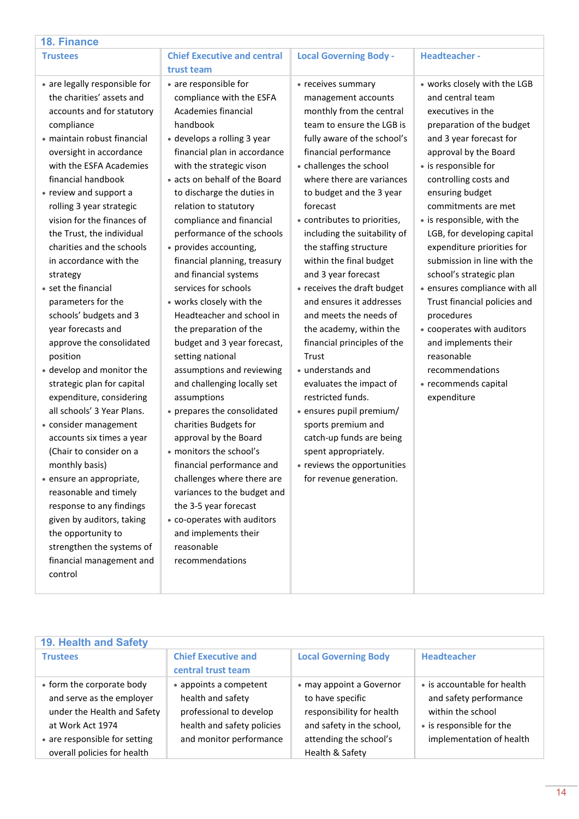<span id="page-13-0"></span>

| <b>18. Finance</b>                                                                                                                                                                                                                                                                                                                                                                                                                                                                                                                                                                                                                                                                                                                                                                                                                                                                                                                  |                                                                                                                                                                                                                                                                                                                                                                                                                                                                                                                                                                                                                                                                                                                                                                                                                                                                                                                                                                   |                                                                                                                                                                                                                                                                                                                                                                                                                                                                                                                                                                                                                                                                                                                                                                                                     |                                                                                                                                                                                                                                                                                                                                                                                                                                                                                                                                                                                                                     |
|-------------------------------------------------------------------------------------------------------------------------------------------------------------------------------------------------------------------------------------------------------------------------------------------------------------------------------------------------------------------------------------------------------------------------------------------------------------------------------------------------------------------------------------------------------------------------------------------------------------------------------------------------------------------------------------------------------------------------------------------------------------------------------------------------------------------------------------------------------------------------------------------------------------------------------------|-------------------------------------------------------------------------------------------------------------------------------------------------------------------------------------------------------------------------------------------------------------------------------------------------------------------------------------------------------------------------------------------------------------------------------------------------------------------------------------------------------------------------------------------------------------------------------------------------------------------------------------------------------------------------------------------------------------------------------------------------------------------------------------------------------------------------------------------------------------------------------------------------------------------------------------------------------------------|-----------------------------------------------------------------------------------------------------------------------------------------------------------------------------------------------------------------------------------------------------------------------------------------------------------------------------------------------------------------------------------------------------------------------------------------------------------------------------------------------------------------------------------------------------------------------------------------------------------------------------------------------------------------------------------------------------------------------------------------------------------------------------------------------------|---------------------------------------------------------------------------------------------------------------------------------------------------------------------------------------------------------------------------------------------------------------------------------------------------------------------------------------------------------------------------------------------------------------------------------------------------------------------------------------------------------------------------------------------------------------------------------------------------------------------|
| <b>Trustees</b>                                                                                                                                                                                                                                                                                                                                                                                                                                                                                                                                                                                                                                                                                                                                                                                                                                                                                                                     | <b>Chief Executive and central</b>                                                                                                                                                                                                                                                                                                                                                                                                                                                                                                                                                                                                                                                                                                                                                                                                                                                                                                                                | <b>Local Governing Body -</b>                                                                                                                                                                                                                                                                                                                                                                                                                                                                                                                                                                                                                                                                                                                                                                       | <b>Headteacher-</b>                                                                                                                                                                                                                                                                                                                                                                                                                                                                                                                                                                                                 |
|                                                                                                                                                                                                                                                                                                                                                                                                                                                                                                                                                                                                                                                                                                                                                                                                                                                                                                                                     | trust team                                                                                                                                                                                                                                                                                                                                                                                                                                                                                                                                                                                                                                                                                                                                                                                                                                                                                                                                                        |                                                                                                                                                                                                                                                                                                                                                                                                                                                                                                                                                                                                                                                                                                                                                                                                     |                                                                                                                                                                                                                                                                                                                                                                                                                                                                                                                                                                                                                     |
| • are legally responsible for<br>the charities' assets and<br>accounts and for statutory<br>compliance<br>· maintain robust financial<br>oversight in accordance<br>with the ESFA Academies<br>financial handbook<br>• review and support a<br>rolling 3 year strategic<br>vision for the finances of<br>the Trust, the individual<br>charities and the schools<br>in accordance with the<br>strategy<br>• set the financial<br>parameters for the<br>schools' budgets and 3<br>year forecasts and<br>approve the consolidated<br>position<br>• develop and monitor the<br>strategic plan for capital<br>expenditure, considering<br>all schools' 3 Year Plans.<br>• consider management<br>accounts six times a year<br>(Chair to consider on a<br>monthly basis)<br>· ensure an appropriate,<br>reasonable and timely<br>response to any findings<br>given by auditors, taking<br>the opportunity to<br>strengthen the systems of | • are responsible for<br>compliance with the ESFA<br>Academies financial<br>handbook<br>• develops a rolling 3 year<br>financial plan in accordance<br>with the strategic vison<br>• acts on behalf of the Board<br>to discharge the duties in<br>relation to statutory<br>compliance and financial<br>performance of the schools<br>• provides accounting,<br>financial planning, treasury<br>and financial systems<br>services for schools<br>• works closely with the<br>Headteacher and school in<br>the preparation of the<br>budget and 3 year forecast,<br>setting national<br>assumptions and reviewing<br>and challenging locally set<br>assumptions<br>• prepares the consolidated<br>charities Budgets for<br>approval by the Board<br>• monitors the school's<br>financial performance and<br>challenges where there are<br>variances to the budget and<br>the 3-5 year forecast<br>• co-operates with auditors<br>and implements their<br>reasonable | • receives summary<br>management accounts<br>monthly from the central<br>team to ensure the LGB is<br>fully aware of the school's<br>financial performance<br>• challenges the school<br>where there are variances<br>to budget and the 3 year<br>forecast<br>• contributes to priorities,<br>including the suitability of<br>the staffing structure<br>within the final budget<br>and 3 year forecast<br>• receives the draft budget<br>and ensures it addresses<br>and meets the needs of<br>the academy, within the<br>financial principles of the<br>Trust<br>• understands and<br>evaluates the impact of<br>restricted funds.<br>• ensures pupil premium/<br>sports premium and<br>catch-up funds are being<br>spent appropriately.<br>• reviews the opportunities<br>for revenue generation. | • works closely with the LGB<br>and central team<br>executives in the<br>preparation of the budget<br>and 3 year forecast for<br>approval by the Board<br>• is responsible for<br>controlling costs and<br>ensuring budget<br>commitments are met<br>• is responsible, with the<br>LGB, for developing capital<br>expenditure priorities for<br>submission in line with the<br>school's strategic plan<br>· ensures compliance with all<br>Trust financial policies and<br>procedures<br>• cooperates with auditors<br>and implements their<br>reasonable<br>recommendations<br>• recommends capital<br>expenditure |
| financial management and<br>control                                                                                                                                                                                                                                                                                                                                                                                                                                                                                                                                                                                                                                                                                                                                                                                                                                                                                                 | recommendations                                                                                                                                                                                                                                                                                                                                                                                                                                                                                                                                                                                                                                                                                                                                                                                                                                                                                                                                                   |                                                                                                                                                                                                                                                                                                                                                                                                                                                                                                                                                                                                                                                                                                                                                                                                     |                                                                                                                                                                                                                                                                                                                                                                                                                                                                                                                                                                                                                     |
|                                                                                                                                                                                                                                                                                                                                                                                                                                                                                                                                                                                                                                                                                                                                                                                                                                                                                                                                     |                                                                                                                                                                                                                                                                                                                                                                                                                                                                                                                                                                                                                                                                                                                                                                                                                                                                                                                                                                   |                                                                                                                                                                                                                                                                                                                                                                                                                                                                                                                                                                                                                                                                                                                                                                                                     |                                                                                                                                                                                                                                                                                                                                                                                                                                                                                                                                                                                                                     |
|                                                                                                                                                                                                                                                                                                                                                                                                                                                                                                                                                                                                                                                                                                                                                                                                                                                                                                                                     |                                                                                                                                                                                                                                                                                                                                                                                                                                                                                                                                                                                                                                                                                                                                                                                                                                                                                                                                                                   |                                                                                                                                                                                                                                                                                                                                                                                                                                                                                                                                                                                                                                                                                                                                                                                                     |                                                                                                                                                                                                                                                                                                                                                                                                                                                                                                                                                                                                                     |
| <b>19. Health and Safety</b>                                                                                                                                                                                                                                                                                                                                                                                                                                                                                                                                                                                                                                                                                                                                                                                                                                                                                                        |                                                                                                                                                                                                                                                                                                                                                                                                                                                                                                                                                                                                                                                                                                                                                                                                                                                                                                                                                                   |                                                                                                                                                                                                                                                                                                                                                                                                                                                                                                                                                                                                                                                                                                                                                                                                     |                                                                                                                                                                                                                                                                                                                                                                                                                                                                                                                                                                                                                     |
| <b>Trustees</b>                                                                                                                                                                                                                                                                                                                                                                                                                                                                                                                                                                                                                                                                                                                                                                                                                                                                                                                     | <b>Chief Executive and</b><br>central trust team                                                                                                                                                                                                                                                                                                                                                                                                                                                                                                                                                                                                                                                                                                                                                                                                                                                                                                                  | <b>Local Governing Body</b>                                                                                                                                                                                                                                                                                                                                                                                                                                                                                                                                                                                                                                                                                                                                                                         | <b>Headteacher</b>                                                                                                                                                                                                                                                                                                                                                                                                                                                                                                                                                                                                  |
| • form the corporate body                                                                                                                                                                                                                                                                                                                                                                                                                                                                                                                                                                                                                                                                                                                                                                                                                                                                                                           | • appoints a competent                                                                                                                                                                                                                                                                                                                                                                                                                                                                                                                                                                                                                                                                                                                                                                                                                                                                                                                                            | • may appoint a Governor                                                                                                                                                                                                                                                                                                                                                                                                                                                                                                                                                                                                                                                                                                                                                                            | • is accountable for health                                                                                                                                                                                                                                                                                                                                                                                                                                                                                                                                                                                         |
| and serve as the employer                                                                                                                                                                                                                                                                                                                                                                                                                                                                                                                                                                                                                                                                                                                                                                                                                                                                                                           | health and safety                                                                                                                                                                                                                                                                                                                                                                                                                                                                                                                                                                                                                                                                                                                                                                                                                                                                                                                                                 | to have specific                                                                                                                                                                                                                                                                                                                                                                                                                                                                                                                                                                                                                                                                                                                                                                                    | and safety performance                                                                                                                                                                                                                                                                                                                                                                                                                                                                                                                                                                                              |
| under the Health and Safety                                                                                                                                                                                                                                                                                                                                                                                                                                                                                                                                                                                                                                                                                                                                                                                                                                                                                                         | professional to develop                                                                                                                                                                                                                                                                                                                                                                                                                                                                                                                                                                                                                                                                                                                                                                                                                                                                                                                                           | responsibility for health                                                                                                                                                                                                                                                                                                                                                                                                                                                                                                                                                                                                                                                                                                                                                                           | within the school                                                                                                                                                                                                                                                                                                                                                                                                                                                                                                                                                                                                   |

<span id="page-13-1"></span>and safety in the school, attending the school's Health & Safety

• is responsible for the implementation of health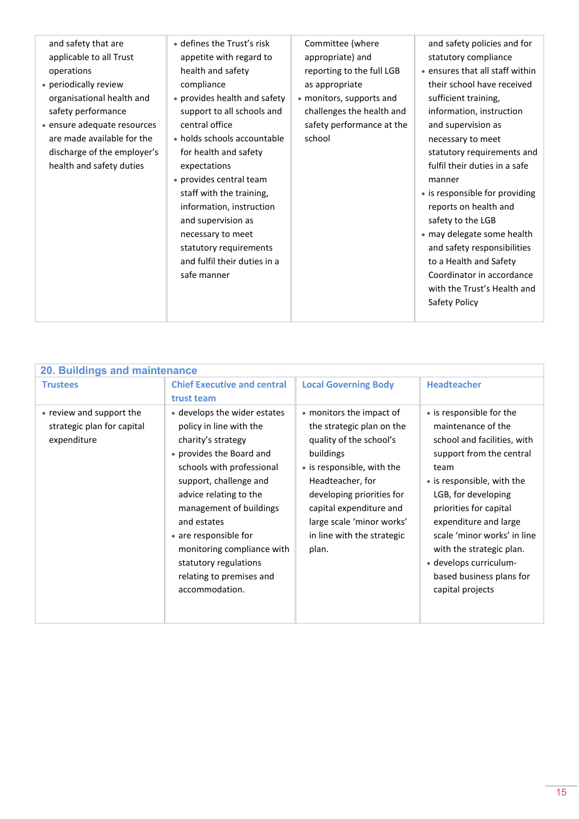| and safety that are<br>applicable to all Trust<br>operations<br>• periodically review<br>organisational health and<br>safety performance<br>• ensure adequate resources<br>are made available for the<br>discharge of the employer's<br>health and safety duties | • defines the Trust's risk<br>appetite with regard to<br>health and safety<br>compliance<br>• provides health and safety<br>support to all schools and<br>central office<br>• holds schools accountable<br>for health and safety<br>expectations<br>• provides central team<br>staff with the training,<br>information, instruction<br>and supervision as<br>necessary to meet<br>statutory requirements<br>and fulfil their duties in a<br>safe manner | Committee (where<br>appropriate) and<br>reporting to the full LGB<br>as appropriate<br>• monitors, supports and<br>challenges the health and<br>safety performance at the<br>school | and safety policies and for<br>statutory compliance<br>• ensures that all staff within<br>their school have received<br>sufficient training,<br>information, instruction<br>and supervision as<br>necessary to meet<br>statutory requirements and<br>fulfil their duties in a safe<br>manner<br>• is responsible for providing<br>reports on health and<br>safety to the LGB<br>· may delegate some health<br>and safety responsibilities<br>to a Health and Safety<br>Coordinator in accordance<br>with the Trust's Health and<br>Safety Policy |
|------------------------------------------------------------------------------------------------------------------------------------------------------------------------------------------------------------------------------------------------------------------|---------------------------------------------------------------------------------------------------------------------------------------------------------------------------------------------------------------------------------------------------------------------------------------------------------------------------------------------------------------------------------------------------------------------------------------------------------|-------------------------------------------------------------------------------------------------------------------------------------------------------------------------------------|--------------------------------------------------------------------------------------------------------------------------------------------------------------------------------------------------------------------------------------------------------------------------------------------------------------------------------------------------------------------------------------------------------------------------------------------------------------------------------------------------------------------------------------------------|

<span id="page-14-0"></span>

| 20. Buildings and maintenance                                         |                                                                                                                                                                                                                                                                                                                                                                    |                                                                                                                                                                                                                                                                             |                                                                                                                                                                                                                                                                                                                                                                |
|-----------------------------------------------------------------------|--------------------------------------------------------------------------------------------------------------------------------------------------------------------------------------------------------------------------------------------------------------------------------------------------------------------------------------------------------------------|-----------------------------------------------------------------------------------------------------------------------------------------------------------------------------------------------------------------------------------------------------------------------------|----------------------------------------------------------------------------------------------------------------------------------------------------------------------------------------------------------------------------------------------------------------------------------------------------------------------------------------------------------------|
| <b>Trustees</b>                                                       | <b>Chief Executive and central</b><br>trust team                                                                                                                                                                                                                                                                                                                   | <b>Local Governing Body</b>                                                                                                                                                                                                                                                 | <b>Headteacher</b>                                                                                                                                                                                                                                                                                                                                             |
| • review and support the<br>strategic plan for capital<br>expenditure | • develops the wider estates<br>policy in line with the<br>charity's strategy<br>• provides the Board and<br>schools with professional<br>support, challenge and<br>advice relating to the<br>management of buildings<br>and estates<br>• are responsible for<br>monitoring compliance with<br>statutory regulations<br>relating to premises and<br>accommodation. | • monitors the impact of<br>the strategic plan on the<br>quality of the school's<br>buildings<br>• is responsible, with the<br>Headteacher, for<br>developing priorities for<br>capital expenditure and<br>large scale 'minor works'<br>in line with the strategic<br>plan. | • is responsible for the<br>maintenance of the<br>school and facilities, with<br>support from the central<br>team<br>• is responsible, with the<br>LGB, for developing<br>priorities for capital<br>expenditure and large<br>scale 'minor works' in line<br>with the strategic plan.<br>· develops curriculum-<br>based business plans for<br>capital projects |